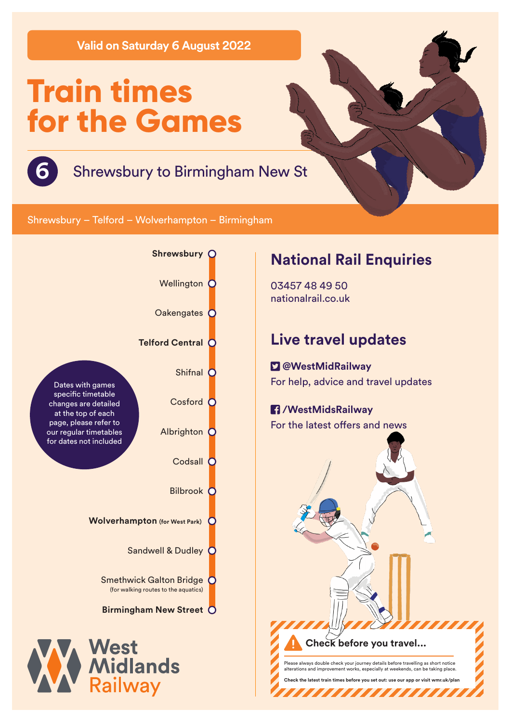**Valid on Saturday 6 August 2022**

# **Train times for the Games**



# **6** Shrewsbury to Birmingham New St

Shrewsbury – Telford – Wolverhampton – Birmingham



# **National Rail Enquiries**

03457 48 49 50 nationalrail.co.uk

# **Live travel updates**

 **@WestMidRailway** For help, advice and travel updates

### **/WestMidsRailway** For the latest offers and news



,,,,,,,,,,,,